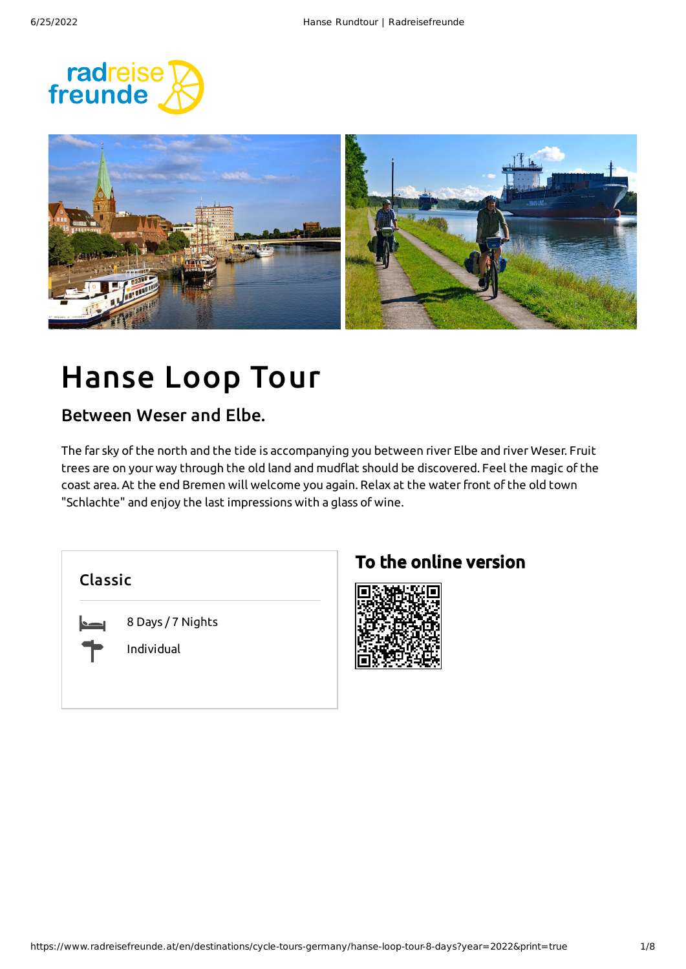



# Hanse Loop Tour

### Between Weser and Elbe.

The far sky of the north and the tide is accompanying you between river Elbe and river Weser. Fruit trees are on your way through the old land and mudflat should be discovered. Feel the magic of the coast area. At the end Bremen will welcome you again. Relax at the waterfront of the old town "Schlachte" and enjoy the last impressions with a glass of wine.

Classic

8 Days / 7 Nights

Individual

### To the online version

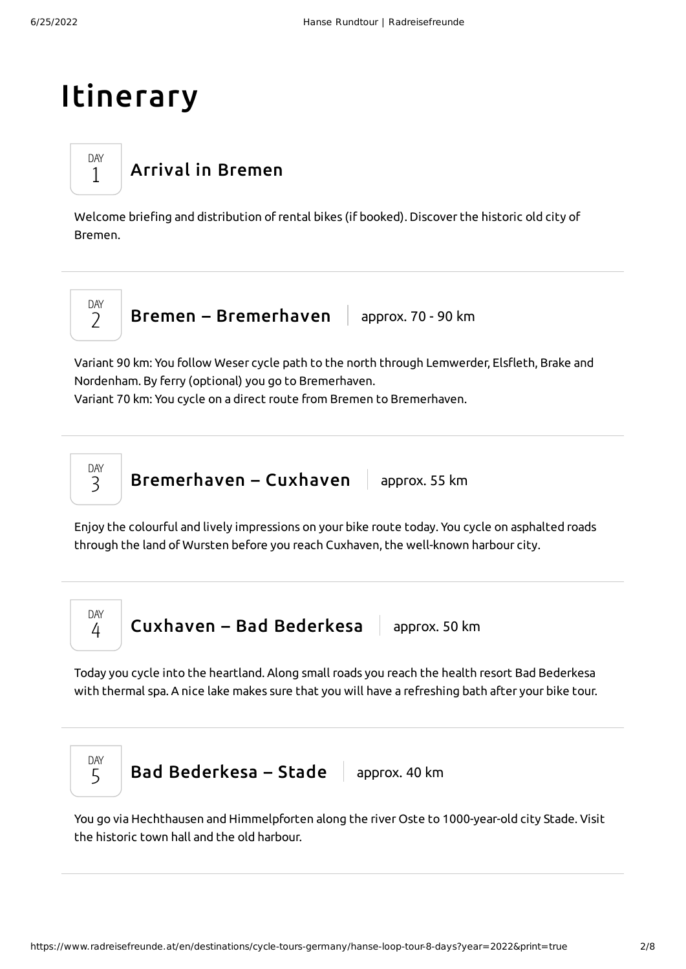# Itinerary

### Arrival in [Bremen](#page-1-0)

<span id="page-1-0"></span>Welcome briefing and distribution of rental bikes (if booked). Discover the historic old city of Bremen.



DAY 1

Bremen – [Bremerhaven](#page-1-1)  $\parallel$  approx. 70 - 90 km

<span id="page-1-1"></span>Variant 90 km: You follow Weser cycle path to the north through Lemwerder, Elsfleth, Brake and Nordenham. By ferry (optional) you go to Bremerhaven.

Variant 70 km: You cycle on a direct route from Bremen to Bremerhaven.



**[Bremerhaven](#page-1-2) – Cuxhaven**  $\vert$  approx. 55 km

<span id="page-1-2"></span>Enjoy the colourful and lively impressions on your bike route today. You cycle on asphalted roads through the land of Wursten before you reach Cuxhaven, the well-known harbour city.



<span id="page-1-3"></span>Today you cycle into the heartland. Along small roads you reach the health resort Bad Bederkesa with thermal spa. A nice lake makes sure that you will have a refreshing bath after your bike tour.



<span id="page-1-4"></span>You go via Hechthausen and Himmelpforten along the river Oste to 1000-year-old city Stade. Visit the historic town hall and the old harbour.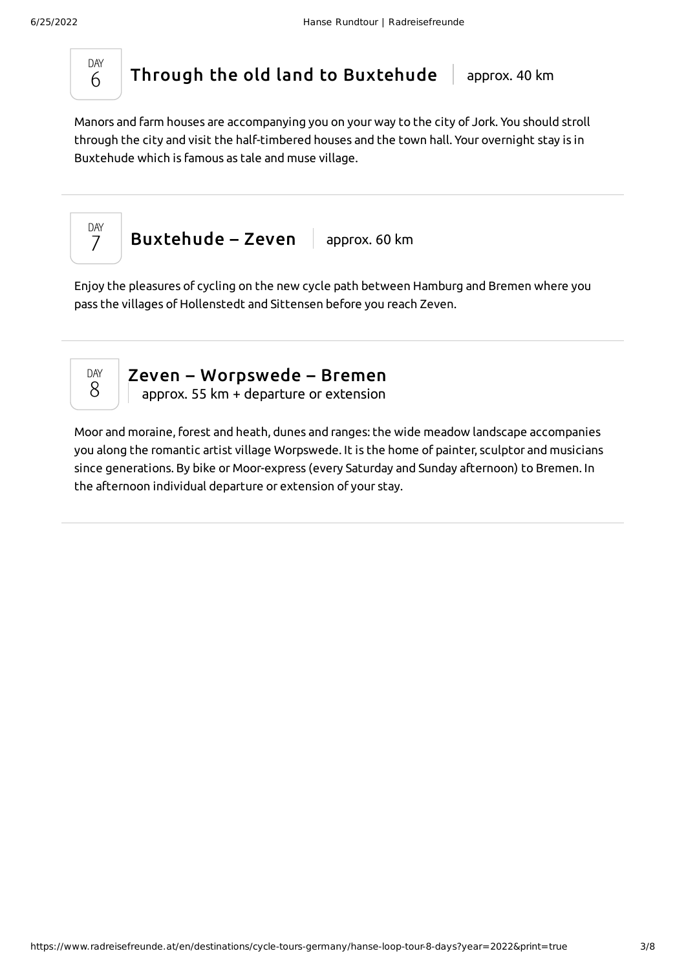

DAY 7

Through the old land to [Buxtehude](#page-2-0) approx. 40 km

<span id="page-2-0"></span>Manors and farm houses are accompanying you on your way to the city of Jork. You should stroll through the city and visit the half-timbered houses and the town hall. Your overnight stay is in Buxtehude which is famous as tale and muse village.

[Buxtehude](#page-2-1) – Zeven  $\vert$  approx. 60 km

<span id="page-2-1"></span>Enjoy the pleasures of cycling on the new cycle path between Hamburg and Bremen where you pass the villages of Hollenstedt and Sittensen before you reach Zeven.



Zeven – [Worpswede](#page-2-2) – Bremen approx. 55 km + departure or extension

<span id="page-2-2"></span>Moor and moraine, forest and heath, dunes and ranges: the wide meadow landscape accompanies you along the romantic artist village Worpswede. It is the home of painter, sculptor and musicians since generations. By bike or Moor-express (every Saturday and Sunday afternoon) to Bremen. In the afternoon individual departure or extension of your stay.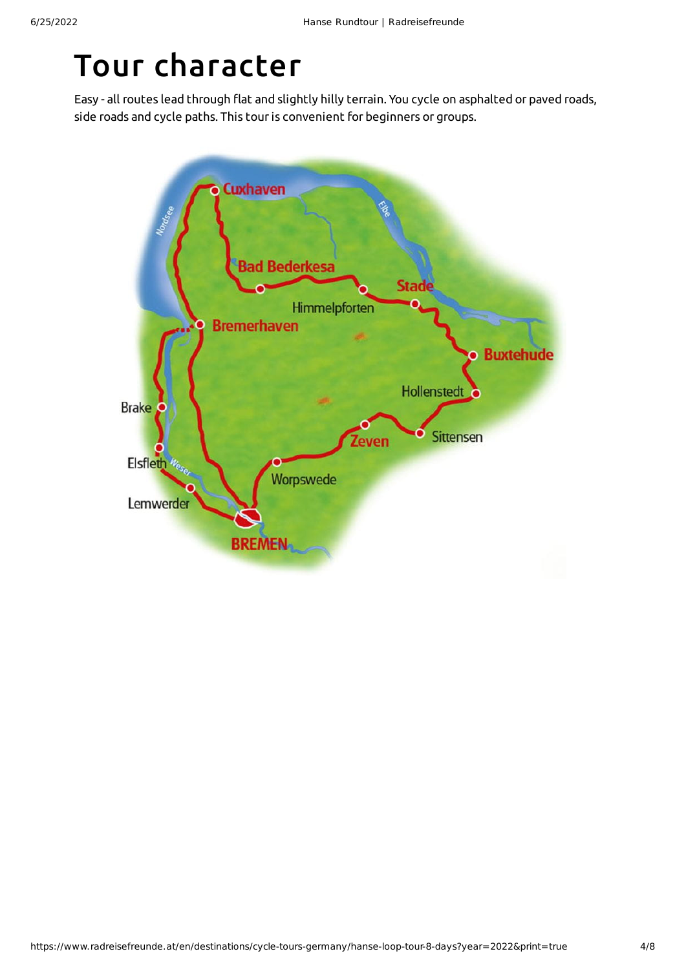### Tour character

Easy - all routes lead through flat and slightly hilly terrain. You cycle on asphalted or paved roads, side roads and cycle paths. This tour is convenient for beginners or groups.

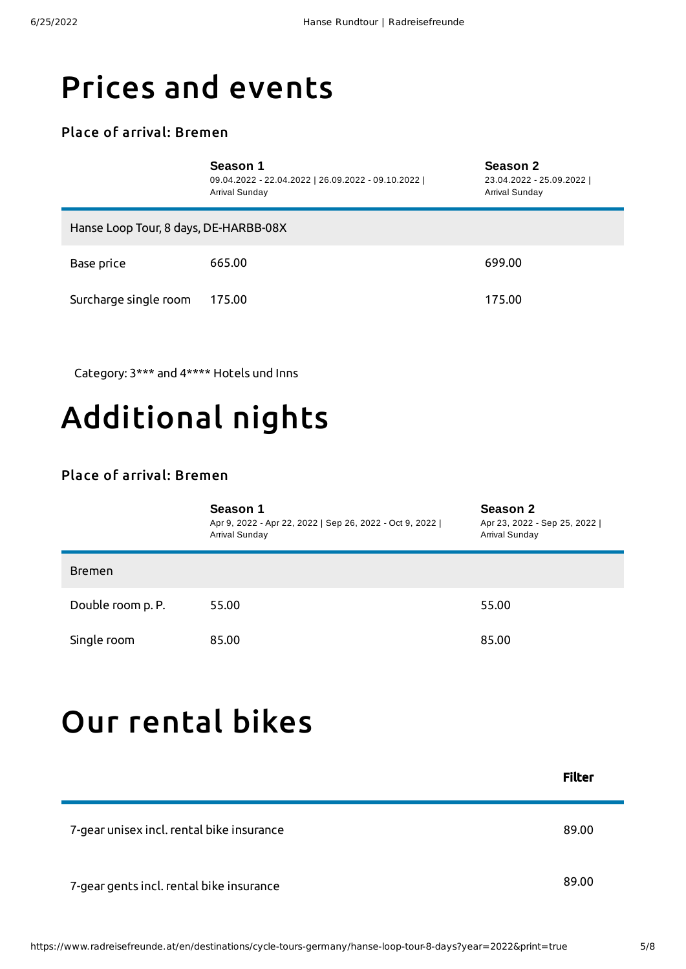### Prices and events

#### Place of arrival: Bremen

|                                       | Season 1<br>09.04.2022 - 22.04.2022   26.09.2022 - 09.10.2022  <br>Arrival Sunday | Season 2<br>23.04.2022 - 25.09.2022  <br>Arrival Sunday |  |  |
|---------------------------------------|-----------------------------------------------------------------------------------|---------------------------------------------------------|--|--|
| Hanse Loop Tour, 8 days, DE-HARBB-08X |                                                                                   |                                                         |  |  |
| Base price                            | 665.00                                                                            | 699.00                                                  |  |  |
| Surcharge single room                 | 175.00                                                                            | 175.00                                                  |  |  |

Category: 3\*\*\* and 4\*\*\*\* Hotels und Inns

## Additional nights

#### Place of arrival: Bremen

|                   | Season 1<br>Apr 9, 2022 - Apr 22, 2022   Sep 26, 2022 - Oct 9, 2022  <br>Arrival Sunday | Season 2<br>Apr 23, 2022 - Sep 25, 2022  <br>Arrival Sunday |
|-------------------|-----------------------------------------------------------------------------------------|-------------------------------------------------------------|
| <b>Bremen</b>     |                                                                                         |                                                             |
| Double room p. P. | 55.00                                                                                   | 55.00                                                       |
| Single room       | 85.00                                                                                   | 85.00                                                       |

### Our [rental](#page-4-0) bikes

<span id="page-4-0"></span>

|                                           | <b>Filter</b> |
|-------------------------------------------|---------------|
| 7-gear unisex incl. rental bike insurance | 89.00         |
| 7-gear gents incl. rental bike insurance  | 89.00         |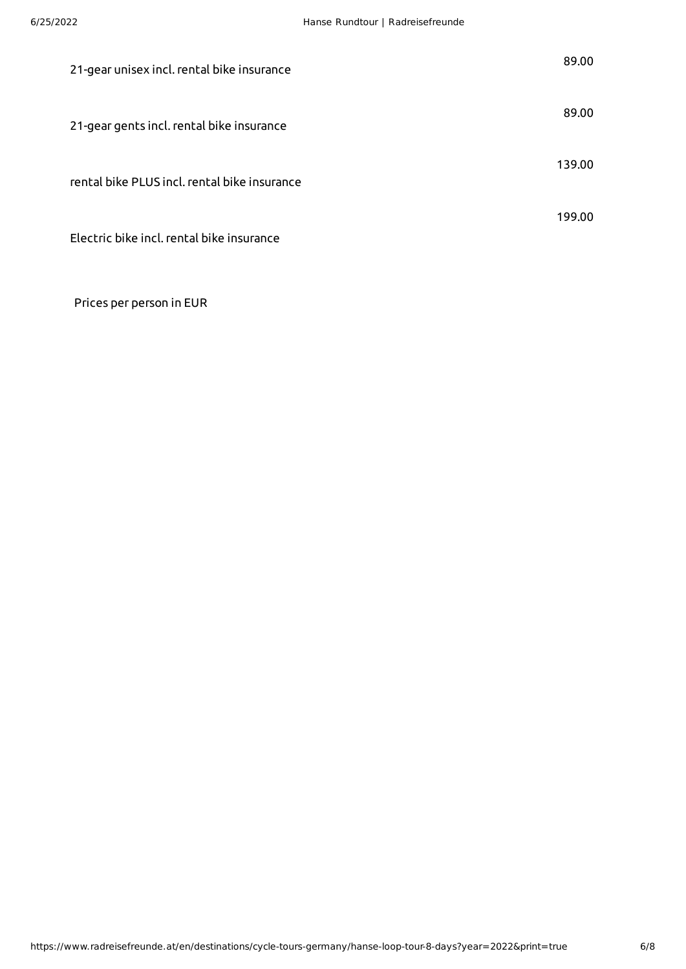| 21-gear unisex incl. rental bike insurance   | 89.00  |
|----------------------------------------------|--------|
| 21-gear gents incl. rental bike insurance    | 89.00  |
| rental bike PLUS incl. rental bike insurance | 139.00 |
| Electric bike incl. rental bike insurance    | 199.00 |

Prices per person in EUR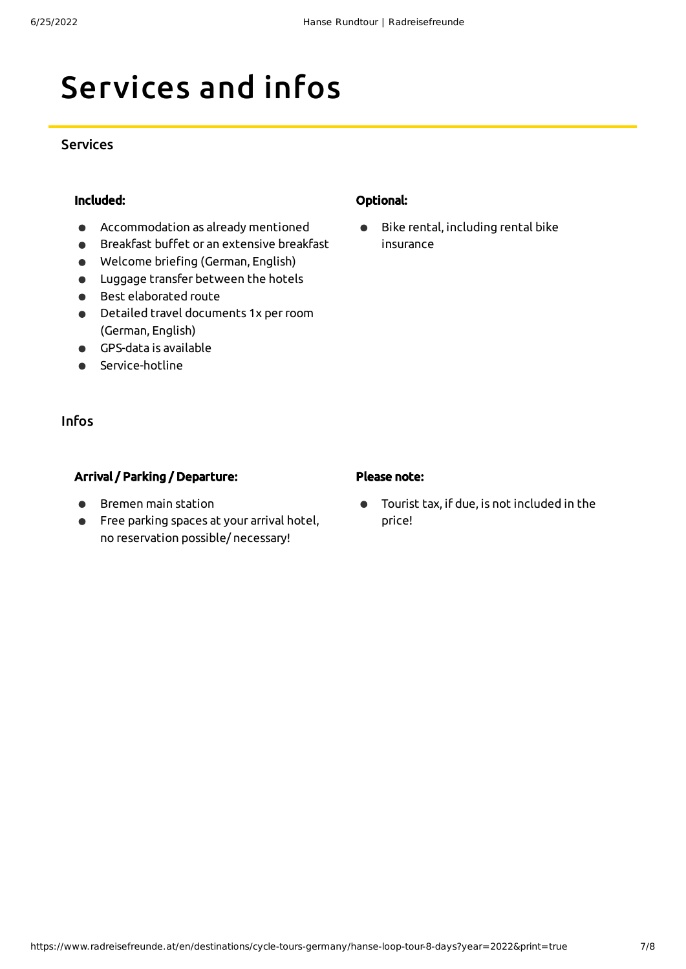# Services and infos

#### Services

#### Included:

- Accommodation as already mentioned  $\bullet$
- Breakfast buffet or an extensive breakfast  $\bullet$
- Welcome briefing (German, English)  $\bullet$
- Luggage transfer between the hotels
- Best elaborated route
- Detailed travel documents 1x perroom  $\bullet$ (German, English)
- GPS-data is available
- Service-hotline

#### Infos

#### Arrival / Parking / Departure:

- Bremen main station
- $\bullet$ Free parking spaces at your arrival hotel, no reservation possible/ necessary!

#### Optional:

Bike rental, including rental bike  $\bullet$ insurance

#### Please note:

Tourist tax, if due, is not included in the  $\bullet$ price!